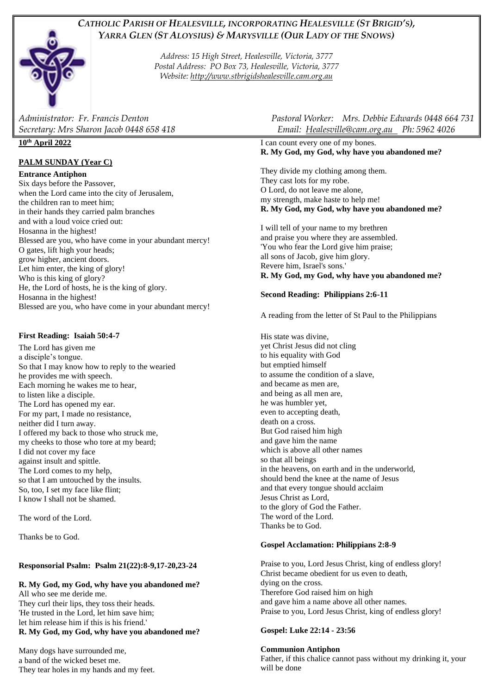# *CATHOLIC PARISH OF HEALESVILLE, INCORPORATING HEALESVILLE (ST BRIGID'S), YARRA GLEN (ST ALOYSIUS) & MARYSVILLE (OUR LADY OF THE SNOWS)*

*Address: 15 High Street, Healesville, Victoria, 3777 Postal Address: PO Box 73, Healesville, Victoria, 3777 Website: [http://www.stbrigidshealesville.cam.org.au](http://www.stbrigidshealesville.cam.org.au/)*

### **10th April 2022**

### **PALM SUNDAY (Year C)**

**Entrance Antiphon**

Six days before the Passover, when the Lord came into the city of Jerusalem, the children ran to meet him; in their hands they carried palm branches and with a loud voice cried out: Hosanna in the highest! Blessed are you, who have come in your abundant mercy! O gates, lift high your heads; grow higher, ancient doors. Let him enter, the king of glory! Who is this king of glory? He, the Lord of hosts, he is the king of glory. Hosanna in the highest! Blessed are you, who have come in your abundant mercy!

#### **First Reading: Isaiah 50:4-7**

The Lord has given me a disciple's tongue. So that I may know how to reply to the wearied he provides me with speech. Each morning he wakes me to hear, to listen like a disciple. The Lord has opened my ear. For my part, I made no resistance, neither did I turn away. I offered my back to those who struck me, my cheeks to those who tore at my beard; I did not cover my face against insult and spittle. The Lord comes to my help, so that I am untouched by the insults. So, too, I set my face like flint; I know I shall not be shamed.

The word of the Lord.

Thanks be to God.

### **Responsorial Psalm: Psalm 21(22):8-9,17-20,23-24**

**R. My God, my God, why have you abandoned me?** All who see me deride me. They curl their lips, they toss their heads. 'He trusted in the Lord, let him save him; let him release him if this is his friend.'

#### **R. My God, my God, why have you abandoned me?**

Many dogs have surrounded me, a band of the wicked beset me. They tear holes in my hands and my feet.

*Administrator: Fr. Francis Denton Pastoral Worker: Mrs. Debbie Edwards 0448 664 731 Secretary: Mrs Sharon Jacob 0448 658 418 Email: [Healesville@cam.org.au](mailto:Healesville@cam.org.au) Ph: 5962 4026* 

> I can count every one of my bones. **R. My God, my God, why have you abandoned me?**

> They divide my clothing among them. They cast lots for my robe. O Lord, do not leave me alone, my strength, make haste to help me! **R. My God, my God, why have you abandoned me?**

> I will tell of your name to my brethren and praise you where they are assembled. 'You who fear the Lord give him praise; all sons of Jacob, give him glory. Revere him, Israel's sons.' **R. My God, my God, why have you abandoned me?**

#### **Second Reading: Philippians 2:6-11**

A reading from the letter of St Paul to the Philippians

His state was divine, yet Christ Jesus did not cling to his equality with God but emptied himself to assume the condition of a slave, and became as men are, and being as all men are, he was humbler yet, even to accepting death, death on a cross. But God raised him high and gave him the name which is above all other names so that all beings in the heavens, on earth and in the underworld, should bend the knee at the name of Jesus and that every tongue should acclaim Jesus Christ as Lord, to the glory of God the Father. The word of the Lord. Thanks be to God.

#### **Gospel Acclamation: Philippians 2:8-9**

Praise to you, Lord Jesus Christ, king of endless glory! Christ became obedient for us even to death, dying on the cross. Therefore God raised him on high and gave him a name above all other names. Praise to you, Lord Jesus Christ, king of endless glory!

#### **Gospel: Luke 22:14 - 23:56**

#### **Communion Antiphon**

Father, if this chalice cannot pass without my drinking it, your will be done

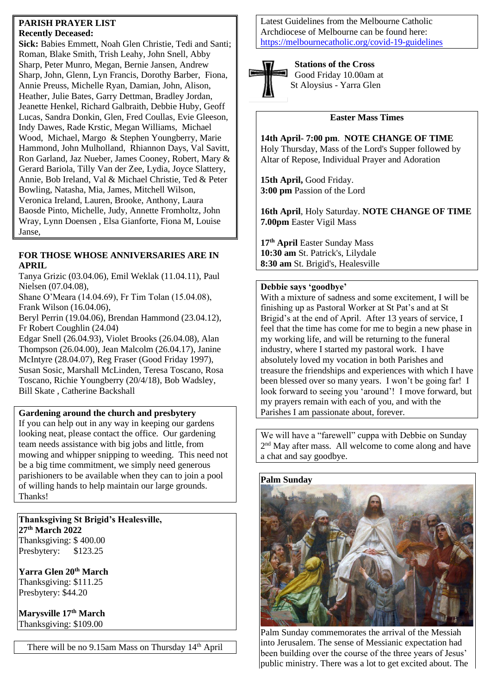#### **PARISH PRAYER LIST Recently Deceased:**

**Sick:** Babies Emmett, Noah Glen Christie, Tedi and Santi; Roman, Blake Smith, Trish Leahy, John Snell, Abby Sharp, Peter Munro, Megan, Bernie Jansen, Andrew Sharp, John, Glenn, Lyn Francis, Dorothy Barber, Fiona, Annie Preuss, Michelle Ryan, Damian, John, Alison, Heather, Julie Bates, Garry Dettman, Bradley Jordan, Jeanette Henkel, Richard Galbraith, Debbie Huby, Geoff Lucas, Sandra Donkin, Glen, Fred Coullas, Evie Gleeson, Indy Dawes, Rade Krstic, Megan Williams, Michael Wood, Michael, Margo & Stephen Youngberry, Marie Hammond, John Mulholland, Rhiannon Days, Val Savitt, Ron Garland, Jaz Nueber, James Cooney, Robert, Mary & Gerard Bariola, Tilly Van der Zee, Lydia, Joyce Slattery, Annie, Bob Ireland, Val & Michael Christie, Ted & Peter Bowling, Natasha, Mia, James, Mitchell Wilson, Veronica Ireland, Lauren, Brooke, Anthony, Laura Baosde Pinto, Michelle, Judy, Annette Fromholtz, John Wray, Lynn Doensen , Elsa Gianforte, Fiona M, Louise Janse,

### **FOR THOSE WHOSE ANNIVERSARIES ARE IN APRIL**

Tanya Grizic (03.04.06), Emil Weklak (11.04.11), Paul Nielsen (07.04.08),

Shane O'Meara (14.04.69), Fr Tim Tolan (15.04.08), Frank Wilson (16.04.06),

Beryl Perrin (19.04.06), Brendan Hammond (23.04.12), Fr Robert Coughlin (24.04)

Edgar Snell (26.04.93), Violet Brooks (26.04.08), Alan Thompson (26.04.00), Jean Malcolm (26.04.17), Janine McIntyre (28.04.07), Reg Fraser (Good Friday 1997), Susan Sosic, Marshall McLinden, Teresa Toscano, Rosa Toscano, Richie Youngberry (20/4/18), Bob Wadsley, Bill Skate , Catherine Backshall

## **Gardening around the church and presbytery**

If you can help out in any way in keeping our gardens looking neat, please contact the office. Our gardening team needs assistance with big jobs and little, from mowing and whipper snipping to weeding. This need not be a big time commitment, we simply need generous parishioners to be available when they can to join a pool of willing hands to help maintain our large grounds. Thanks!

**Thanksgiving St Brigid's Healesville, 27th March 2022**  Thanksgiving: \$ 400.00 Presbytery: \$123.25

**Yarra Glen 20th March**  Thanksgiving: \$111.25 Presbytery: \$44.20

**Marysville 17th March**  Thanksgiving: \$109.00

There will be no 9.15am Mass on Thursday  $14<sup>th</sup>$  April

Latest Guidelines from the Melbourne Catholic Archdiocese of Melbourne can be found here: <https://melbournecatholic.org/covid-19-guidelines>



**Stations of the Cross** Good Friday 10.00am at St Aloysius - Yarra Glen

#### **Easter Mass Times**

**14th April- 7:00 pm**. **NOTE CHANGE OF TIME** Holy Thursday, Mass of the Lord's Supper followed by Altar of Repose, Individual Prayer and Adoration

**15th April,** Good Friday. **3:00 pm** Passion of the Lord

**16th April**, Holy Saturday. **NOTE CHANGE OF TIME 7.00pm** Easter Vigil Mass

**17th April** Easter Sunday Mass **10:30 am** St. Patrick's, Lilydale **8:30 am** St. Brigid's, Healesville

## **Debbie says 'goodbye'**

With a mixture of sadness and some excitement, I will be finishing up as Pastoral Worker at St Pat's and at St Brigid's at the end of April. After 13 years of service, I feel that the time has come for me to begin a new phase in my working life, and will be returning to the funeral industry, where I started my pastoral work. I have absolutely loved my vocation in both Parishes and treasure the friendships and experiences with which I have been blessed over so many years. I won't be going far! I look forward to seeing you 'around'! I move forward, but my prayers remain with each of you, and with the Parishes I am passionate about, forever.

We will have a "farewell" cuppa with Debbie on Sunday 2<sup>nd</sup> May after mass. All welcome to come along and have a chat and say goodbye.



Palm Sunday commemorates the arrival of the Messiah into Jerusalem. The sense of Messianic expectation had been building over the course of the three years of Jesus' public ministry. There was a lot to get excited about. The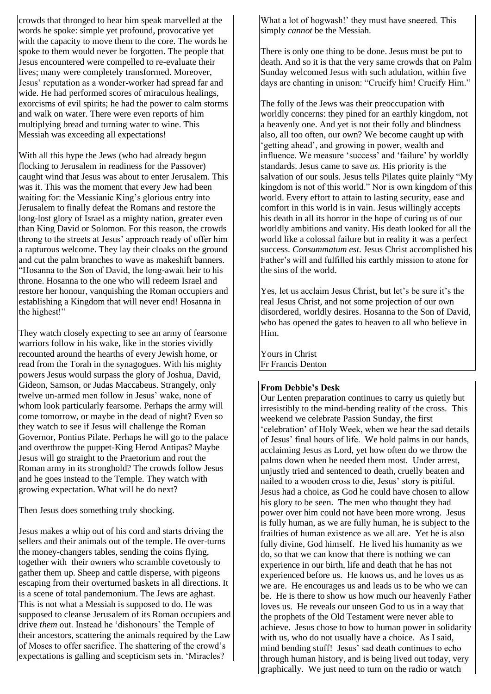crowds that thronged to hear him speak marvelled at the words he spoke: simple yet profound, provocative yet with the capacity to move them to the core. The words he spoke to them would never be forgotten. The people that Jesus encountered were compelled to re-evaluate their lives; many were completely transformed. Moreover, Jesus' reputation as a wonder-worker had spread far and wide. He had performed scores of miraculous healings, exorcisms of evil spirits; he had the power to calm storms and walk on water. There were even reports of him multiplying bread and turning water to wine. This Messiah was exceeding all expectations!

With all this hype the Jews (who had already begun flocking to Jerusalem in readiness for the Passover) caught wind that Jesus was about to enter Jerusalem. This was it. This was the moment that every Jew had been waiting for: the Messianic King's glorious entry into Jerusalem to finally defeat the Romans and restore the long-lost glory of Israel as a mighty nation, greater even than King David or Solomon. For this reason, the crowds throng to the streets at Jesus' approach ready of offer him a rapturous welcome. They lay their cloaks on the ground and cut the palm branches to wave as makeshift banners. "Hosanna to the Son of David, the long-await heir to his throne. Hosanna to the one who will redeem Israel and restore her honour, vanquishing the Roman occupiers and establishing a Kingdom that will never end! Hosanna in the highest!"

They watch closely expecting to see an army of fearsome warriors follow in his wake, like in the stories vividly recounted around the hearths of every Jewish home, or read from the Torah in the synagogues. With his mighty powers Jesus would surpass the glory of Joshua, David, Gideon, Samson, or Judas Maccabeus. Strangely, only twelve un-armed men follow in Jesus' wake, none of whom look particularly fearsome. Perhaps the army will come tomorrow, or maybe in the dead of night? Even so they watch to see if Jesus will challenge the Roman Governor, Pontius Pilate. Perhaps he will go to the palace and overthrow the puppet-King Herod Antipas? Maybe Jesus will go straight to the Praetorium and rout the Roman army in its stronghold? The crowds follow Jesus and he goes instead to the Temple. They watch with growing expectation. What will he do next?

Then Jesus does something truly shocking.

Jesus makes a whip out of his cord and starts driving the sellers and their animals out of the temple. He over-turns the money-changers tables, sending the coins flying, together with their owners who scramble covetously to gather them up. Sheep and cattle disperse, with pigeons escaping from their overturned baskets in all directions. It is a scene of total pandemonium. The Jews are aghast. This is not what a Messiah is supposed to do. He was supposed to cleanse Jerusalem of its Roman occupiers and drive *them* out. Instead he 'dishonours' the Temple of their ancestors, scattering the animals required by the Law of Moses to offer sacrifice. The shattering of the crowd's expectations is galling and scepticism sets in. 'Miracles?

What a lot of hogwash!' they must have sneered. This simply *cannot* be the Messiah.

There is only one thing to be done. Jesus must be put to death. And so it is that the very same crowds that on Palm Sunday welcomed Jesus with such adulation, within five days are chanting in unison: "Crucify him! Crucify Him."

The folly of the Jews was their preoccupation with worldly concerns: they pined for an earthly kingdom, not a heavenly one. And yet is not their folly and blindness also, all too often, our own? We become caught up with 'getting ahead', and growing in power, wealth and influence. We measure 'success' and 'failure' by worldly standards. Jesus came to save *us.* His priority is the salvation of our souls. Jesus tells Pilates quite plainly "My kingdom is not of this world." Nor is own kingdom of this world. Every effort to attain to lasting security, ease and comfort in this world is in vain. Jesus willingly accepts his death in all its horror in the hope of curing us of our worldly ambitions and vanity. His death looked for all the world like a colossal failure but in reality it was a perfect success. *Consummatum est.* Jesus Christ accomplished his Father's will and fulfilled his earthly mission to atone for the sins of the world.

Yes, let us acclaim Jesus Christ, but let's be sure it's the real Jesus Christ, and not some projection of our own disordered, worldly desires. Hosanna to the Son of David, who has opened the gates to heaven to all who believe in Him.

Yours in Christ Fr Francis Denton

### **From Debbie's Desk**

Our Lenten preparation continues to carry us quietly but irresistibly to the mind-bending reality of the cross. This weekend we celebrate Passion Sunday, the first 'celebration' of Holy Week, when we hear the sad details of Jesus' final hours of life. We hold palms in our hands, acclaiming Jesus as Lord, yet how often do we throw the palms down when he needed them most. Under arrest, unjustly tried and sentenced to death, cruelly beaten and nailed to a wooden cross to die, Jesus' story is pitiful. Jesus had a choice, as God he could have chosen to allow his glory to be seen. The men who thought they had power over him could not have been more wrong. Jesus is fully human, as we are fully human, he is subject to the frailties of human existence as we all are. Yet he is also fully divine, God himself. He lived his humanity as we do, so that we can know that there is nothing we can experience in our birth, life and death that he has not experienced before us. He knows us, and he loves us as we are. He encourages us and leads us to be who we can be. He is there to show us how much our heavenly Father loves us. He reveals our unseen God to us in a way that the prophets of the Old Testament were never able to achieve. Jesus chose to bow to human power in solidarity with us, who do not usually have a choice. As I said, mind bending stuff! Jesus' sad death continues to echo through human history, and is being lived out today, very graphically. We just need to turn on the radio or watch